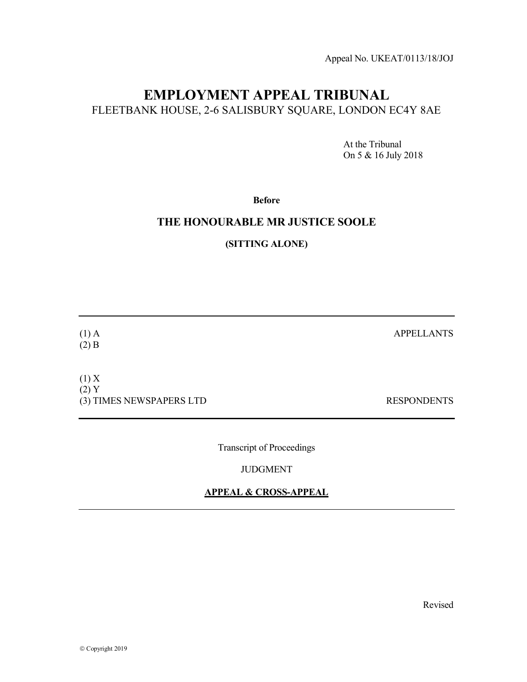Appeal No. UKEAT/0113/18/JOJ

# EMPLOYMENT APPEAL TRIBUNAL FLEETBANK HOUSE, 2-6 SALISBURY SQUARE, LONDON EC4Y 8AE

 At the Tribunal On 5 & 16 July 2018

Before

### THE HONOURABLE MR JUSTICE SOOLE

(SITTING ALONE)

(1) A APPELLANTS (2) B  $(1)$  X (2) Y (3) TIMES NEWSPAPERS LTD RESPONDENTS

Transcript of Proceedings

JUDGMENT

#### APPEAL & CROSS-APPEAL

Revised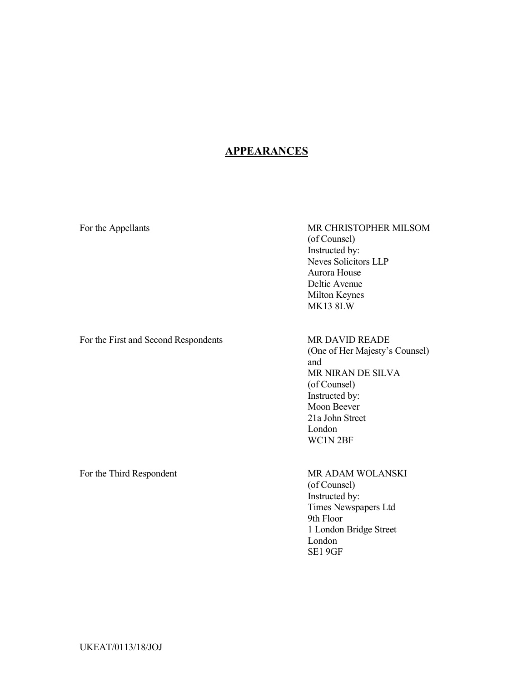# **APPEARANCES**

### For the Appellants MR CHRISTOPHER MILSOM (of Counsel) Instructed by: Neves Solicitors LLP Aurora House Deltic Avenue Milton Keynes MK13 8LW

For the First and Second Respondents MR DAVID READE

(One of Her Majesty's Counsel) and MR NIRAN DE SILVA (of Counsel) Instructed by: Moon Beever 21a John Street London WC1N 2BF

For the Third Respondent MR ADAM WOLANSKI

(of Counsel) Instructed by: Times Newspapers Ltd 9th Floor 1 London Bridge Street London SE1 9GF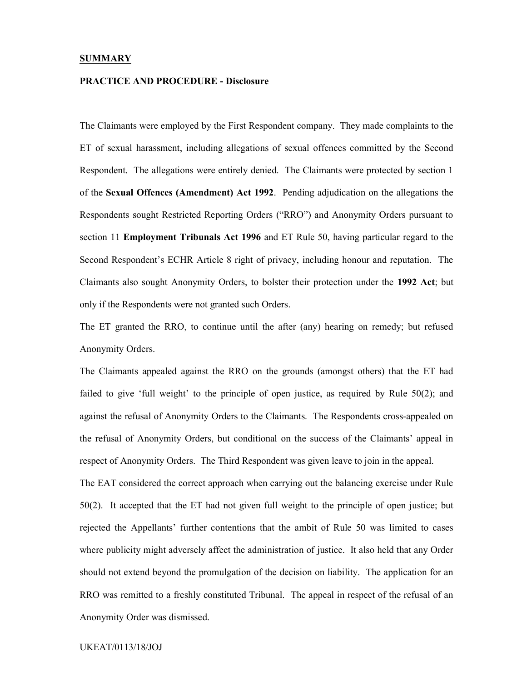#### **SUMMARY**

#### PRACTICE AND PROCEDURE - Disclosure

The Claimants were employed by the First Respondent company. They made complaints to the ET of sexual harassment, including allegations of sexual offences committed by the Second Respondent. The allegations were entirely denied. The Claimants were protected by section 1 of the Sexual Offences (Amendment) Act 1992. Pending adjudication on the allegations the Respondents sought Restricted Reporting Orders ("RRO") and Anonymity Orders pursuant to section 11 Employment Tribunals Act 1996 and ET Rule 50, having particular regard to the Second Respondent's ECHR Article 8 right of privacy, including honour and reputation. The Claimants also sought Anonymity Orders, to bolster their protection under the 1992 Act; but only if the Respondents were not granted such Orders.

The ET granted the RRO, to continue until the after (any) hearing on remedy; but refused Anonymity Orders.

The Claimants appealed against the RRO on the grounds (amongst others) that the ET had failed to give 'full weight' to the principle of open justice, as required by Rule 50(2); and against the refusal of Anonymity Orders to the Claimants. The Respondents cross-appealed on the refusal of Anonymity Orders, but conditional on the success of the Claimants' appeal in respect of Anonymity Orders. The Third Respondent was given leave to join in the appeal.

The EAT considered the correct approach when carrying out the balancing exercise under Rule 50(2). It accepted that the ET had not given full weight to the principle of open justice; but rejected the Appellants' further contentions that the ambit of Rule 50 was limited to cases where publicity might adversely affect the administration of justice. It also held that any Order should not extend beyond the promulgation of the decision on liability. The application for an RRO was remitted to a freshly constituted Tribunal. The appeal in respect of the refusal of an Anonymity Order was dismissed.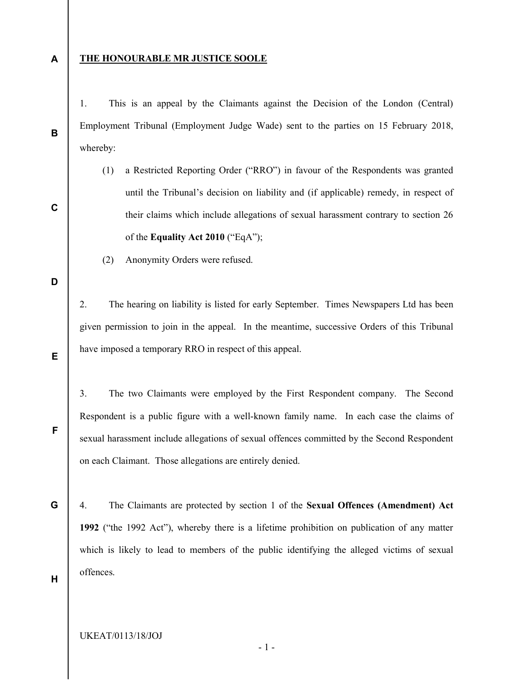A

B

C

#### THE HONOURABLE MR JUSTICE SOOLE

1. This is an appeal by the Claimants against the Decision of the London (Central) Employment Tribunal (Employment Judge Wade) sent to the parties on 15 February 2018, whereby:

- (1) a Restricted Reporting Order ("RRO") in favour of the Respondents was granted until the Tribunal's decision on liability and (if applicable) remedy, in respect of their claims which include allegations of sexual harassment contrary to section 26 of the Equality Act 2010 ("EqA");
- (2) Anonymity Orders were refused.

D

E

F

G

2. The hearing on liability is listed for early September. Times Newspapers Ltd has been given permission to join in the appeal. In the meantime, successive Orders of this Tribunal have imposed a temporary RRO in respect of this appeal.

3. The two Claimants were employed by the First Respondent company. The Second Respondent is a public figure with a well-known family name. In each case the claims of sexual harassment include allegations of sexual offences committed by the Second Respondent on each Claimant. Those allegations are entirely denied.

4. The Claimants are protected by section 1 of the Sexual Offences (Amendment) Act 1992 ("the 1992 Act"), whereby there is a lifetime prohibition on publication of any matter which is likely to lead to members of the public identifying the alleged victims of sexual offences.

H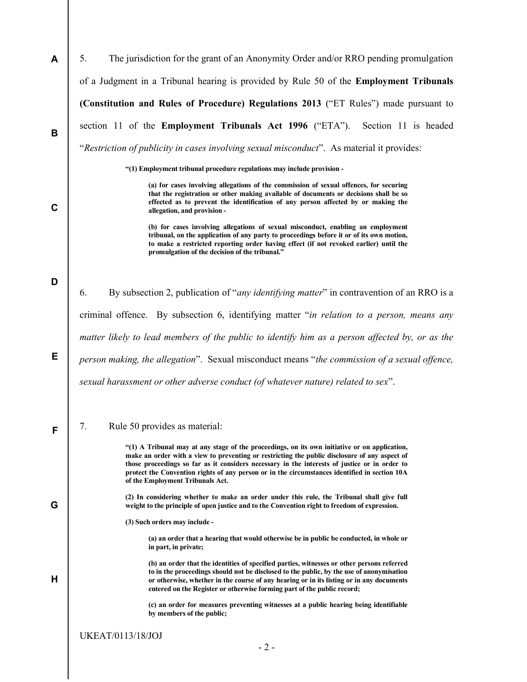| A           | The jurisdiction for the grant of an Anonymity Order and/or RRO pending promulgation<br>5.                                                                                                                                                                                                                                                                                                                                           |
|-------------|--------------------------------------------------------------------------------------------------------------------------------------------------------------------------------------------------------------------------------------------------------------------------------------------------------------------------------------------------------------------------------------------------------------------------------------|
|             | of a Judgment in a Tribunal hearing is provided by Rule 50 of the Employment Tribunals                                                                                                                                                                                                                                                                                                                                               |
|             | (Constitution and Rules of Procedure) Regulations 2013 ("ET Rules") made pursuant to                                                                                                                                                                                                                                                                                                                                                 |
| B           | section 11 of the Employment Tribunals Act 1996 ("ETA").<br>Section 11 is headed                                                                                                                                                                                                                                                                                                                                                     |
|             | "Restriction of publicity in cases involving sexual misconduct". As material it provides:                                                                                                                                                                                                                                                                                                                                            |
|             | "(1) Employment tribunal procedure regulations may include provision -                                                                                                                                                                                                                                                                                                                                                               |
| $\mathbf C$ | (a) for cases involving allegations of the commission of sexual offences, for securing<br>that the registration or other making available of documents or decisions shall be so<br>effected as to prevent the identification of any person affected by or making the<br>allegation, and provision -                                                                                                                                  |
|             | (b) for cases involving allegations of sexual misconduct, enabling an employment<br>tribunal, on the application of any party to proceedings before it or of its own motion,<br>to make a restricted reporting order having effect (if not revoked earlier) until the<br>promulgation of the decision of the tribunal."                                                                                                              |
| D           |                                                                                                                                                                                                                                                                                                                                                                                                                                      |
|             | By subsection 2, publication of "any identifying matter" in contravention of an RRO is a<br>6.                                                                                                                                                                                                                                                                                                                                       |
|             | criminal offence. By subsection 6, identifying matter "in relation to a person, means any                                                                                                                                                                                                                                                                                                                                            |
|             | matter likely to lead members of the public to identify him as a person affected by, or as the                                                                                                                                                                                                                                                                                                                                       |
| Е           | person making, the allegation". Sexual misconduct means "the commission of a sexual offence,                                                                                                                                                                                                                                                                                                                                         |
|             | sexual harassment or other adverse conduct (of whatever nature) related to sex".                                                                                                                                                                                                                                                                                                                                                     |
|             | 7.<br>Rule 50 provides as material:                                                                                                                                                                                                                                                                                                                                                                                                  |
| F           |                                                                                                                                                                                                                                                                                                                                                                                                                                      |
|             | "(1) A Tribunal may at any stage of the proceedings, on its own initiative or on application,<br>make an order with a view to preventing or restricting the public disclosure of any aspect of<br>those proceedings so far as it considers necessary in the interests of justice or in order to<br>protect the Convention rights of any person or in the circumstances identified in section 10A<br>of the Employment Tribunals Act. |
| G           | (2) In considering whether to make an order under this rule, the Tribunal shall give full<br>weight to the principle of open justice and to the Convention right to freedom of expression.                                                                                                                                                                                                                                           |
|             | (3) Such orders may include -                                                                                                                                                                                                                                                                                                                                                                                                        |
|             | (a) an order that a hearing that would otherwise be in public be conducted, in whole or<br>in part, in private;                                                                                                                                                                                                                                                                                                                      |
| н           | (b) an order that the identities of specified parties, witnesses or other persons referred<br>to in the proceedings should not be disclosed to the public, by the use of anonymisation<br>or otherwise, whether in the course of any hearing or in its listing or in any documents<br>entered on the Register or otherwise forming part of the public record;                                                                        |
|             | (c) an order for measures preventing witnesses at a public hearing being identifiable<br>by members of the public;                                                                                                                                                                                                                                                                                                                   |
|             | <b>UKEAT/0113/18/JOJ</b>                                                                                                                                                                                                                                                                                                                                                                                                             |
|             | $-2-$                                                                                                                                                                                                                                                                                                                                                                                                                                |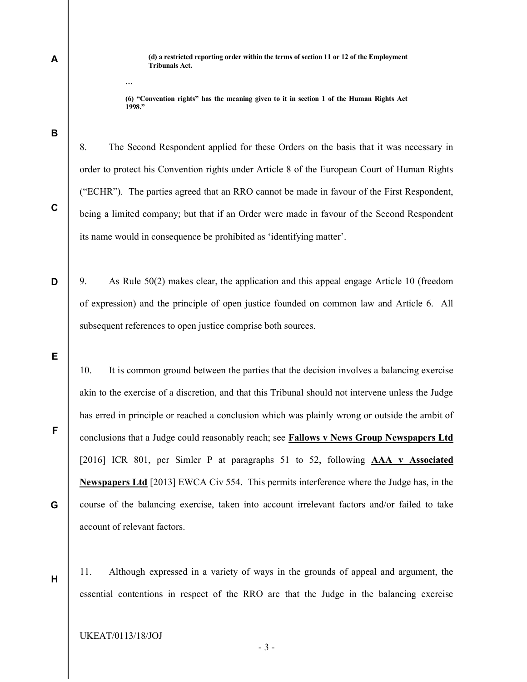(d) a restricted reporting order within the terms of section 11 or 12 of the Employment Tribunals Act.

(6) "Convention rights" has the meaning given to it in section 1 of the Human Rights Act 1998."

B

C

D

A

…

8. The Second Respondent applied for these Orders on the basis that it was necessary in order to protect his Convention rights under Article 8 of the European Court of Human Rights ("ECHR"). The parties agreed that an RRO cannot be made in favour of the First Respondent, being a limited company; but that if an Order were made in favour of the Second Respondent its name would in consequence be prohibited as 'identifying matter'.

9. As Rule 50(2) makes clear, the application and this appeal engage Article 10 (freedom of expression) and the principle of open justice founded on common law and Article 6. All subsequent references to open justice comprise both sources.

E

F

G

H

10. It is common ground between the parties that the decision involves a balancing exercise akin to the exercise of a discretion, and that this Tribunal should not intervene unless the Judge has erred in principle or reached a conclusion which was plainly wrong or outside the ambit of conclusions that a Judge could reasonably reach; see Fallows v News Group Newspapers Ltd [2016] ICR 801, per Simler P at paragraphs 51 to 52, following **AAA v Associated** Newspapers Ltd [2013] EWCA Civ 554. This permits interference where the Judge has, in the course of the balancing exercise, taken into account irrelevant factors and/or failed to take account of relevant factors.

11. Although expressed in a variety of ways in the grounds of appeal and argument, the essential contentions in respect of the RRO are that the Judge in the balancing exercise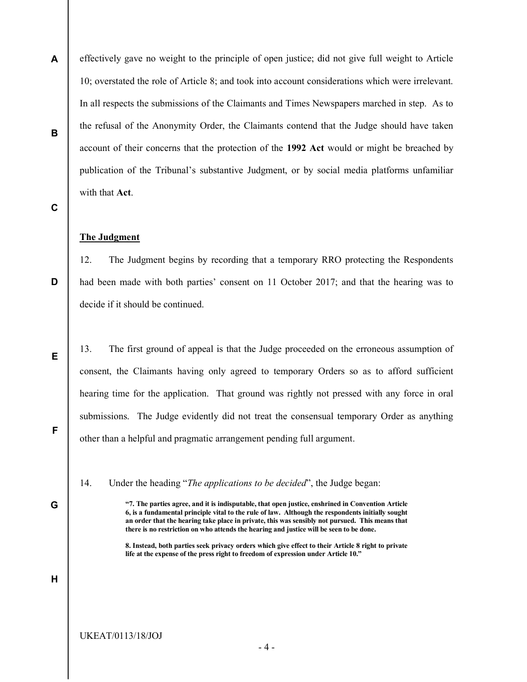A B effectively gave no weight to the principle of open justice; did not give full weight to Article 10; overstated the role of Article 8; and took into account considerations which were irrelevant. In all respects the submissions of the Claimants and Times Newspapers marched in step. As to the refusal of the Anonymity Order, the Claimants contend that the Judge should have taken account of their concerns that the protection of the 1992 Act would or might be breached by publication of the Tribunal's substantive Judgment, or by social media platforms unfamiliar with that Act.

#### C

D

E

F

#### The Judgment

12. The Judgment begins by recording that a temporary RRO protecting the Respondents had been made with both parties' consent on 11 October 2017; and that the hearing was to decide if it should be continued.

13. The first ground of appeal is that the Judge proceeded on the erroneous assumption of consent, the Claimants having only agreed to temporary Orders so as to afford sufficient hearing time for the application. That ground was rightly not pressed with any force in oral submissions. The Judge evidently did not treat the consensual temporary Order as anything other than a helpful and pragmatic arrangement pending full argument.

14. Under the heading "The applications to be decided", the Judge began:

"7. The parties agree, and it is indisputable, that open justice, enshrined in Convention Article 6, is a fundamental principle vital to the rule of law. Although the respondents initially sought an order that the hearing take place in private, this was sensibly not pursued. This means that there is no restriction on who attends the hearing and justice will be seen to be done.

8. Instead, both parties seek privacy orders which give effect to their Article 8 right to private life at the expense of the press right to freedom of expression under Article 10."

G

H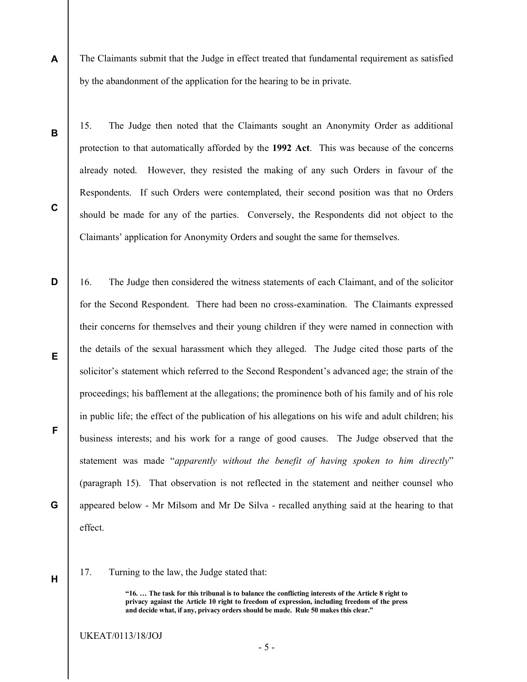A The Claimants submit that the Judge in effect treated that fundamental requirement as satisfied by the abandonment of the application for the hearing to be in private.

B

C

15. The Judge then noted that the Claimants sought an Anonymity Order as additional protection to that automatically afforded by the 1992 Act. This was because of the concerns already noted. However, they resisted the making of any such Orders in favour of the Respondents. If such Orders were contemplated, their second position was that no Orders should be made for any of the parties. Conversely, the Respondents did not object to the Claimants' application for Anonymity Orders and sought the same for themselves.

D E F G 16. The Judge then considered the witness statements of each Claimant, and of the solicitor for the Second Respondent. There had been no cross-examination. The Claimants expressed their concerns for themselves and their young children if they were named in connection with the details of the sexual harassment which they alleged. The Judge cited those parts of the solicitor's statement which referred to the Second Respondent's advanced age; the strain of the proceedings; his bafflement at the allegations; the prominence both of his family and of his role in public life; the effect of the publication of his allegations on his wife and adult children; his business interests; and his work for a range of good causes. The Judge observed that the statement was made "apparently without the benefit of having spoken to him directly" (paragraph 15). That observation is not reflected in the statement and neither counsel who appeared below - Mr Milsom and Mr De Silva - recalled anything said at the hearing to that effect.

H

17. Turning to the law, the Judge stated that:

"16. … The task for this tribunal is to balance the conflicting interests of the Article 8 right to privacy against the Article 10 right to freedom of expression, including freedom of the press and decide what, if any, privacy orders should be made. Rule 50 makes this clear."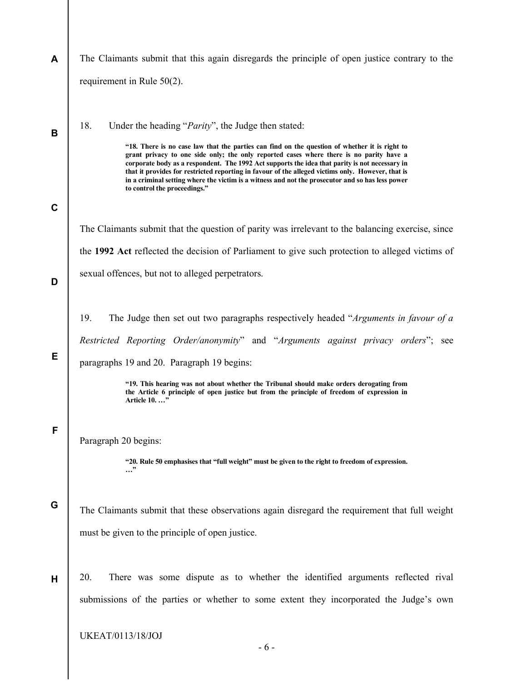| A           | The Claimants submit that this again disregards the principle of open justice contrary to the                                                                                                                                                                                                                                                                                                                                                                                                                                                                             |
|-------------|---------------------------------------------------------------------------------------------------------------------------------------------------------------------------------------------------------------------------------------------------------------------------------------------------------------------------------------------------------------------------------------------------------------------------------------------------------------------------------------------------------------------------------------------------------------------------|
|             | requirement in Rule 50(2).                                                                                                                                                                                                                                                                                                                                                                                                                                                                                                                                                |
| B           | 18.<br>Under the heading " <i>Parity</i> ", the Judge then stated:<br>"18. There is no case law that the parties can find on the question of whether it is right to<br>grant privacy to one side only; the only reported cases where there is no parity have a<br>corporate body as a respondent. The 1992 Act supports the idea that parity is not necessary in<br>that it provides for restricted reporting in favour of the alleged victims only. However, that is<br>in a criminal setting where the victim is a witness and not the prosecutor and so has less power |
| $\mathbf c$ | to control the proceedings."                                                                                                                                                                                                                                                                                                                                                                                                                                                                                                                                              |
|             | The Claimants submit that the question of parity was irrelevant to the balancing exercise, since                                                                                                                                                                                                                                                                                                                                                                                                                                                                          |
|             | the 1992 Act reflected the decision of Parliament to give such protection to alleged victims of                                                                                                                                                                                                                                                                                                                                                                                                                                                                           |
| D           | sexual offences, but not to alleged perpetrators.                                                                                                                                                                                                                                                                                                                                                                                                                                                                                                                         |
|             |                                                                                                                                                                                                                                                                                                                                                                                                                                                                                                                                                                           |
|             | 19.<br>The Judge then set out two paragraphs respectively headed "Arguments in favour of a                                                                                                                                                                                                                                                                                                                                                                                                                                                                                |
| Е           | Restricted Reporting Order/anonymity" and "Arguments against privacy orders"; see                                                                                                                                                                                                                                                                                                                                                                                                                                                                                         |
|             | paragraphs 19 and 20. Paragraph 19 begins:                                                                                                                                                                                                                                                                                                                                                                                                                                                                                                                                |
|             | "19. This hearing was not about whether the Tribunal should make orders derogating from<br>the Article 6 principle of open justice but from the principle of freedom of expression in<br>Article 10. "                                                                                                                                                                                                                                                                                                                                                                    |
| F           | Paragraph 20 begins:<br>"20. Rule 50 emphasises that "full weight" must be given to the right to freedom of expression.<br>"                                                                                                                                                                                                                                                                                                                                                                                                                                              |
| G           | The Claimants submit that these observations again disregard the requirement that full weight<br>must be given to the principle of open justice.                                                                                                                                                                                                                                                                                                                                                                                                                          |
| Н           | There was some dispute as to whether the identified arguments reflected rival<br>20.<br>submissions of the parties or whether to some extent they incorporated the Judge's own                                                                                                                                                                                                                                                                                                                                                                                            |
|             | UKEAT/0113/18/JOJ<br>$-6-$                                                                                                                                                                                                                                                                                                                                                                                                                                                                                                                                                |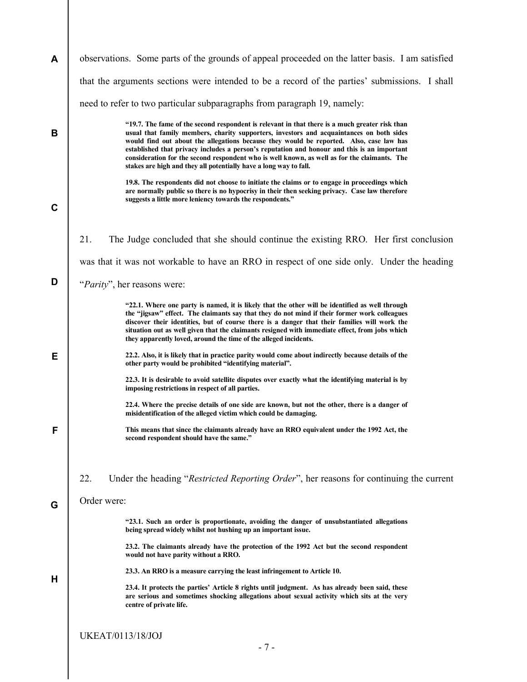| A           | observations. Some parts of the grounds of appeal proceeded on the latter basis. I am satisfied                                                                                                                                                                                                                                                                                                                                                                                                                                                           |
|-------------|-----------------------------------------------------------------------------------------------------------------------------------------------------------------------------------------------------------------------------------------------------------------------------------------------------------------------------------------------------------------------------------------------------------------------------------------------------------------------------------------------------------------------------------------------------------|
|             | that the arguments sections were intended to be a record of the parties' submissions. I shall                                                                                                                                                                                                                                                                                                                                                                                                                                                             |
|             | need to refer to two particular subparagraphs from paragraph 19, namely:                                                                                                                                                                                                                                                                                                                                                                                                                                                                                  |
| B           | "19.7. The fame of the second respondent is relevant in that there is a much greater risk than<br>usual that family members, charity supporters, investors and acquaintances on both sides<br>would find out about the allegations because they would be reported. Also, case law has<br>established that privacy includes a person's reputation and honour and this is an important<br>consideration for the second respondent who is well known, as well as for the claimants. The<br>stakes are high and they all potentially have a long way to fall. |
| $\mathbf c$ | 19.8. The respondents did not choose to initiate the claims or to engage in proceedings which<br>are normally public so there is no hypocrisy in their then seeking privacy. Case law therefore<br>suggests a little more leniency towards the respondents."                                                                                                                                                                                                                                                                                              |
|             | 21.<br>The Judge concluded that she should continue the existing RRO. Her first conclusion                                                                                                                                                                                                                                                                                                                                                                                                                                                                |
|             | was that it was not workable to have an RRO in respect of one side only. Under the heading                                                                                                                                                                                                                                                                                                                                                                                                                                                                |
| D           | "Parity", her reasons were:                                                                                                                                                                                                                                                                                                                                                                                                                                                                                                                               |
|             | "22.1. Where one party is named, it is likely that the other will be identified as well through<br>the "jigsaw" effect. The claimants say that they do not mind if their former work colleagues<br>discover their identities, but of course there is a danger that their families will work the<br>situation out as well given that the claimants resigned with immediate effect, from jobs which<br>they apparently loved, around the time of the alleged incidents.                                                                                     |
| Е           | 22.2. Also, it is likely that in practice parity would come about indirectly because details of the<br>other party would be prohibited "identifying material".                                                                                                                                                                                                                                                                                                                                                                                            |
|             | 22.3. It is desirable to avoid satellite disputes over exactly what the identifying material is by<br>imposing restrictions in respect of all parties.                                                                                                                                                                                                                                                                                                                                                                                                    |
|             | 22.4. Where the precise details of one side are known, but not the other, there is a danger of<br>misidentification of the alleged victim which could be damaging.                                                                                                                                                                                                                                                                                                                                                                                        |
| F           | This means that since the claimants already have an RRO equivalent under the 1992 Act, the<br>second respondent should have the same."                                                                                                                                                                                                                                                                                                                                                                                                                    |
|             | 22.<br>Under the heading "Restricted Reporting Order", her reasons for continuing the current                                                                                                                                                                                                                                                                                                                                                                                                                                                             |
| G           | Order were:                                                                                                                                                                                                                                                                                                                                                                                                                                                                                                                                               |
|             | "23.1. Such an order is proportionate, avoiding the danger of unsubstantiated allegations<br>being spread widely whilst not hushing up an important issue.                                                                                                                                                                                                                                                                                                                                                                                                |
|             | 23.2. The claimants already have the protection of the 1992 Act but the second respondent<br>would not have parity without a RRO.                                                                                                                                                                                                                                                                                                                                                                                                                         |
| н           | 23.3. An RRO is a measure carrying the least infringement to Article 10.                                                                                                                                                                                                                                                                                                                                                                                                                                                                                  |
|             | 23.4. It protects the parties' Article 8 rights until judgment. As has already been said, these<br>are serious and sometimes shocking allegations about sexual activity which sits at the very<br>centre of private life.                                                                                                                                                                                                                                                                                                                                 |
|             | <b>UKEAT/0113/18/JOJ</b>                                                                                                                                                                                                                                                                                                                                                                                                                                                                                                                                  |
|             | $-7-$                                                                                                                                                                                                                                                                                                                                                                                                                                                                                                                                                     |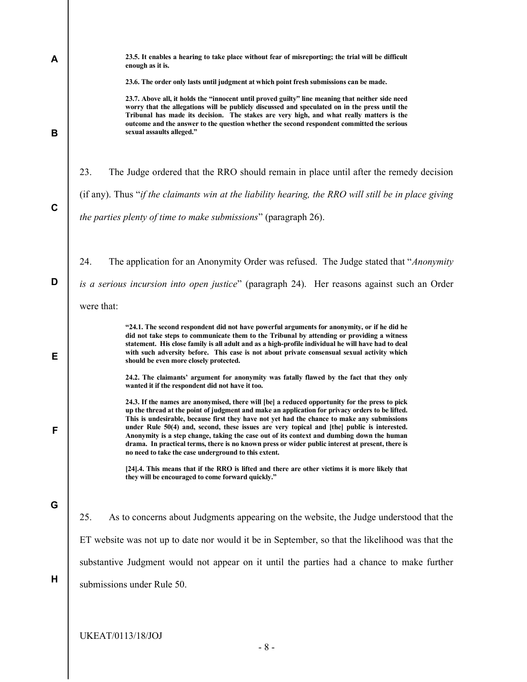| A | 23.5. It enables a hearing to take place without fear of misreporting; the trial will be difficult                                                                                                                                                                                                                                                                                                                                                                                                                                                                                                                                                       |
|---|----------------------------------------------------------------------------------------------------------------------------------------------------------------------------------------------------------------------------------------------------------------------------------------------------------------------------------------------------------------------------------------------------------------------------------------------------------------------------------------------------------------------------------------------------------------------------------------------------------------------------------------------------------|
|   | enough as it is.                                                                                                                                                                                                                                                                                                                                                                                                                                                                                                                                                                                                                                         |
|   | 23.6. The order only lasts until judgment at which point fresh submissions can be made.                                                                                                                                                                                                                                                                                                                                                                                                                                                                                                                                                                  |
| B | 23.7. Above all, it holds the "innocent until proved guilty" line meaning that neither side need<br>worry that the allegations will be publicly discussed and speculated on in the press until the<br>Tribunal has made its decision. The stakes are very high, and what really matters is the<br>outcome and the answer to the question whether the second respondent committed the serious<br>sexual assaults alleged."                                                                                                                                                                                                                                |
|   | 23.<br>The Judge ordered that the RRO should remain in place until after the remedy decision                                                                                                                                                                                                                                                                                                                                                                                                                                                                                                                                                             |
| C | (if any). Thus "if the claimants win at the liability hearing, the RRO will still be in place giving                                                                                                                                                                                                                                                                                                                                                                                                                                                                                                                                                     |
|   | the parties plenty of time to make submissions" (paragraph 26).                                                                                                                                                                                                                                                                                                                                                                                                                                                                                                                                                                                          |
|   | 24.<br>The application for an Anonymity Order was refused. The Judge stated that "Anonymity                                                                                                                                                                                                                                                                                                                                                                                                                                                                                                                                                              |
| D | is a serious incursion into open justice" (paragraph 24). Her reasons against such an Order                                                                                                                                                                                                                                                                                                                                                                                                                                                                                                                                                              |
|   | were that:                                                                                                                                                                                                                                                                                                                                                                                                                                                                                                                                                                                                                                               |
| Е | "24.1. The second respondent did not have powerful arguments for anonymity, or if he did he<br>did not take steps to communicate them to the Tribunal by attending or providing a witness<br>statement. His close family is all adult and as a high-profile individual he will have had to deal<br>with such adversity before. This case is not about private consensual sexual activity which<br>should be even more closely protected.                                                                                                                                                                                                                 |
|   | 24.2. The claimants' argument for anonymity was fatally flawed by the fact that they only<br>wanted it if the respondent did not have it too.                                                                                                                                                                                                                                                                                                                                                                                                                                                                                                            |
| F | 24.3. If the names are anonymised, there will [be] a reduced opportunity for the press to pick<br>up the thread at the point of judgment and make an application for privacy orders to be lifted.<br>This is undesirable, because first they have not yet had the chance to make any submissions<br>under Rule 50(4) and, second, these issues are very topical and [the] public is interested.<br>Anonymity is a step change, taking the case out of its context and dumbing down the human<br>drama. In practical terms, there is no known press or wider public interest at present, there is<br>no need to take the case underground to this extent. |
|   | [24].4. This means that if the RRO is lifted and there are other victims it is more likely that<br>they will be encouraged to come forward quickly."                                                                                                                                                                                                                                                                                                                                                                                                                                                                                                     |
| G |                                                                                                                                                                                                                                                                                                                                                                                                                                                                                                                                                                                                                                                          |
|   | 25.<br>As to concerns about Judgments appearing on the website, the Judge understood that the                                                                                                                                                                                                                                                                                                                                                                                                                                                                                                                                                            |
|   | ET website was not up to date nor would it be in September, so that the likelihood was that the                                                                                                                                                                                                                                                                                                                                                                                                                                                                                                                                                          |
|   | substantive Judgment would not appear on it until the parties had a chance to make further                                                                                                                                                                                                                                                                                                                                                                                                                                                                                                                                                               |
| Н | submissions under Rule 50.                                                                                                                                                                                                                                                                                                                                                                                                                                                                                                                                                                                                                               |
|   | <b>UKEAT/0113/18/JOJ</b>                                                                                                                                                                                                                                                                                                                                                                                                                                                                                                                                                                                                                                 |

- 8 -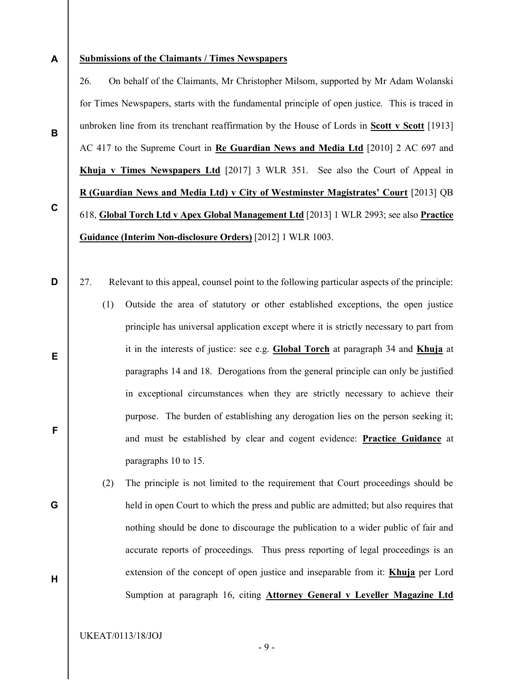A

B

#### Submissions of the Claimants / Times Newspapers

26. On behalf of the Claimants, Mr Christopher Milsom, supported by Mr Adam Wolanski for Times Newspapers, starts with the fundamental principle of open justice. This is traced in unbroken line from its trenchant reaffirmation by the House of Lords in Scott  $\bf{v}$  Scott [1913] AC 417 to the Supreme Court in Re Guardian News and Media Ltd [2010] 2 AC 697 and Khuja v Times Newspapers Ltd [2017] 3 WLR 351. See also the Court of Appeal in R (Guardian News and Media Ltd) v City of Westminster Magistrates' Court [2013] QB 618, Global Torch Ltd v Apex Global Management Ltd [2013] 1 WLR 2993; see also Practice Guidance (Interim Non-disclosure Orders) [2012] 1 WLR 1003.

D

E

F

G

H

C

- 27. Relevant to this appeal, counsel point to the following particular aspects of the principle: (1) Outside the area of statutory or other established exceptions, the open justice principle has universal application except where it is strictly necessary to part from it in the interests of justice: see e.g. Global Torch at paragraph 34 and Khuja at paragraphs 14 and 18. Derogations from the general principle can only be justified in exceptional circumstances when they are strictly necessary to achieve their purpose. The burden of establishing any derogation lies on the person seeking it; and must be established by clear and cogent evidence: Practice Guidance at paragraphs 10 to 15.
	- (2) The principle is not limited to the requirement that Court proceedings should be held in open Court to which the press and public are admitted; but also requires that nothing should be done to discourage the publication to a wider public of fair and accurate reports of proceedings. Thus press reporting of legal proceedings is an extension of the concept of open justice and inseparable from it: Khuja per Lord Sumption at paragraph 16, citing Attorney General v Leveller Magazine Ltd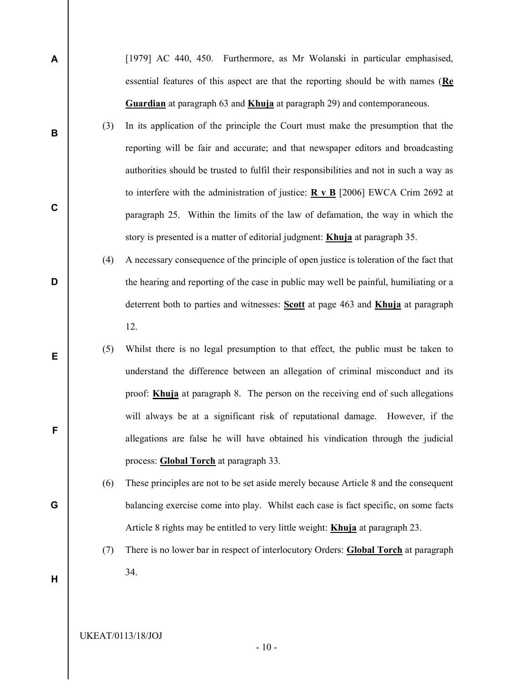[1979] AC 440, 450. Furthermore, as Mr Wolanski in particular emphasised, essential features of this aspect are that the reporting should be with names  $(Re)$ Guardian at paragraph 63 and **Khuja** at paragraph 29) and contemporaneous.

- (3) In its application of the principle the Court must make the presumption that the reporting will be fair and accurate; and that newspaper editors and broadcasting authorities should be trusted to fulfil their responsibilities and not in such a way as to interfere with the administration of justice:  $\mathbf{R} \times \mathbf{B}$  [2006] EWCA Crim 2692 at paragraph 25. Within the limits of the law of defamation, the way in which the story is presented is a matter of editorial judgment: Khuja at paragraph 35.
- (4) A necessary consequence of the principle of open justice is toleration of the fact that the hearing and reporting of the case in public may well be painful, humiliating or a deterrent both to parties and witnesses: Scott at page 463 and Khuja at paragraph 12.
	- (5) Whilst there is no legal presumption to that effect, the public must be taken to understand the difference between an allegation of criminal misconduct and its proof: Khuja at paragraph 8. The person on the receiving end of such allegations will always be at a significant risk of reputational damage. However, if the allegations are false he will have obtained his vindication through the judicial process: Global Torch at paragraph 33.
	- (6) These principles are not to be set aside merely because Article 8 and the consequent balancing exercise come into play. Whilst each case is fact specific, on some facts Article 8 rights may be entitled to very little weight: **Khuja** at paragraph 23.
	- (7) There is no lower bar in respect of interlocutory Orders: Global Torch at paragraph 34.

H

A

B

C

D

E

F

G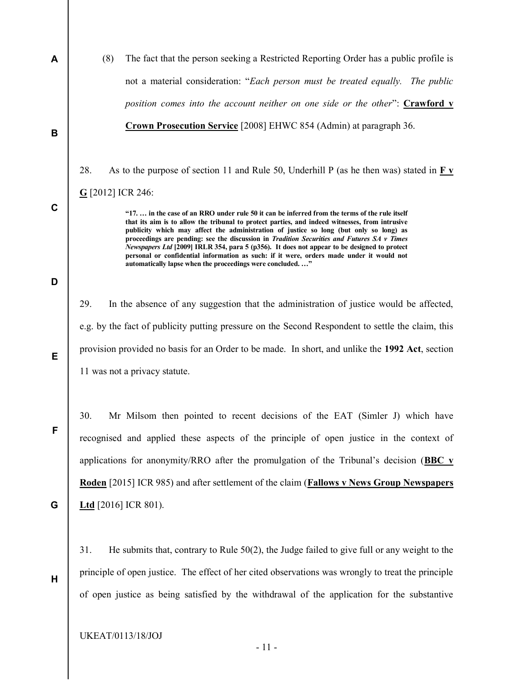(8) The fact that the person seeking a Restricted Reporting Order has a public profile is not a material consideration: "Each person must be treated equally. The public position comes into the account neither on one side or the other":  $Crawford$  v Crown Prosecution Service [2008] EHWC 854 (Admin) at paragraph 36.

28. As to the purpose of section 11 and Rule 50, Underhill P (as he then was) stated in  $\underline{F} \underline{v}$ G [2012] ICR 246:

> "17. … in the case of an RRO under rule 50 it can be inferred from the terms of the rule itself that its aim is to allow the tribunal to protect parties, and indeed witnesses, from intrusive publicity which may affect the administration of justice so long (but only so long) as proceedings are pending: see the discussion in Tradition Securities and Futures  $SA$  v Times Newspapers Ltd [2009] IRLR 354, para 5 (p356). It does not appear to be designed to protect personal or confidential information as such: if it were, orders made under it would not automatically lapse when the proceedings were concluded. …"

D

E

F

G

H

A

B

C

29. In the absence of any suggestion that the administration of justice would be affected, e.g. by the fact of publicity putting pressure on the Second Respondent to settle the claim, this provision provided no basis for an Order to be made. In short, and unlike the 1992 Act, section 11 was not a privacy statute.

30. Mr Milsom then pointed to recent decisions of the EAT (Simler J) which have recognised and applied these aspects of the principle of open justice in the context of applications for anonymity/RRO after the promulgation of the Tribunal's decision (BBC  $\bf{v}$ ) Roden [2015] ICR 985) and after settlement of the claim (Fallows v News Group Newspapers **Ltd** [2016] ICR 801).

31. He submits that, contrary to Rule 50(2), the Judge failed to give full or any weight to the principle of open justice. The effect of her cited observations was wrongly to treat the principle of open justice as being satisfied by the withdrawal of the application for the substantive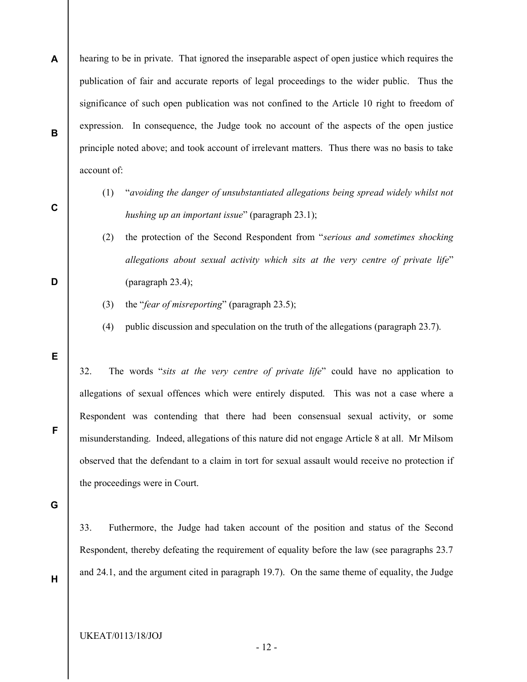- A B hearing to be in private. That ignored the inseparable aspect of open justice which requires the publication of fair and accurate reports of legal proceedings to the wider public. Thus the significance of such open publication was not confined to the Article 10 right to freedom of expression. In consequence, the Judge took no account of the aspects of the open justice principle noted above; and took account of irrelevant matters. Thus there was no basis to take account of:
	- (1) "avoiding the danger of unsubstantiated allegations being spread widely whilst not hushing up an important issue" (paragraph 23.1);
	- (2) the protection of the Second Respondent from "serious and sometimes shocking allegations about sexual activity which sits at the very centre of private life" (paragraph 23.4);
	- (3) the "fear of misreporting" (paragraph 23.5);
	- (4) public discussion and speculation on the truth of the allegations (paragraph 23.7).

E

C

D

32. The words "sits at the very centre of private life" could have no application to allegations of sexual offences which were entirely disputed. This was not a case where a Respondent was contending that there had been consensual sexual activity, or some misunderstanding. Indeed, allegations of this nature did not engage Article 8 at all. Mr Milsom observed that the defendant to a claim in tort for sexual assault would receive no protection if the proceedings were in Court.

G

33. Futhermore, the Judge had taken account of the position and status of the Second Respondent, thereby defeating the requirement of equality before the law (see paragraphs 23.7 and 24.1, and the argument cited in paragraph 19.7). On the same theme of equality, the Judge

H

F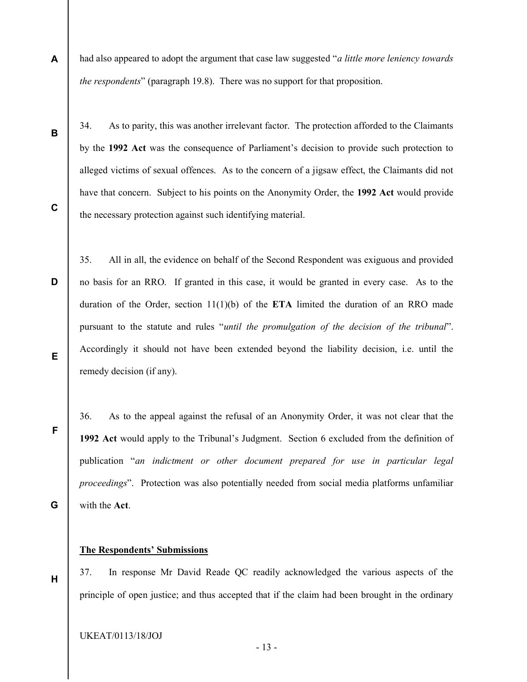had also appeared to adopt the argument that case law suggested "*a little more leniency towards* the respondents" (paragraph 19.8). There was no support for that proposition.

B

C

F

G

H

A

34. As to parity, this was another irrelevant factor. The protection afforded to the Claimants by the 1992 Act was the consequence of Parliament's decision to provide such protection to alleged victims of sexual offences. As to the concern of a jigsaw effect, the Claimants did not have that concern. Subject to his points on the Anonymity Order, the 1992 Act would provide the necessary protection against such identifying material.

D E 35. All in all, the evidence on behalf of the Second Respondent was exiguous and provided no basis for an RRO. If granted in this case, it would be granted in every case. As to the duration of the Order, section  $11(1)(b)$  of the **ETA** limited the duration of an RRO made pursuant to the statute and rules "until the promulgation of the decision of the tribunal". Accordingly it should not have been extended beyond the liability decision, i.e. until the remedy decision (if any).

36. As to the appeal against the refusal of an Anonymity Order, it was not clear that the 1992 Act would apply to the Tribunal's Judgment. Section 6 excluded from the definition of publication "an indictment or other document prepared for use in particular legal proceedings". Protection was also potentially needed from social media platforms unfamiliar with the Act.

The Respondents' Submissions

37. In response Mr David Reade QC readily acknowledged the various aspects of the principle of open justice; and thus accepted that if the claim had been brought in the ordinary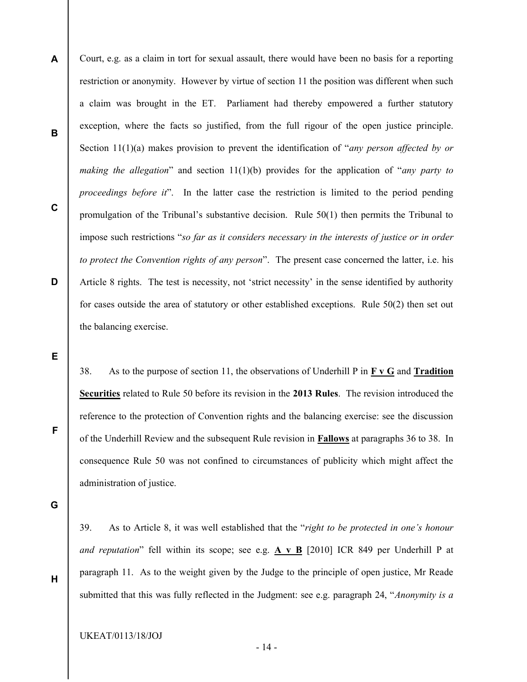A B C D Court, e.g. as a claim in tort for sexual assault, there would have been no basis for a reporting restriction or anonymity. However by virtue of section 11 the position was different when such a claim was brought in the ET. Parliament had thereby empowered a further statutory exception, where the facts so justified, from the full rigour of the open justice principle. Section  $11(1)(a)$  makes provision to prevent the identification of "*any person affected by or* making the allegation" and section  $11(1)(b)$  provides for the application of "any party to proceedings before it". In the latter case the restriction is limited to the period pending promulgation of the Tribunal's substantive decision. Rule 50(1) then permits the Tribunal to impose such restrictions "so far as it considers necessary in the interests of justice or in order to protect the Convention rights of any person". The present case concerned the latter, i.e. his Article 8 rights. The test is necessity, not 'strict necessity' in the sense identified by authority for cases outside the area of statutory or other established exceptions. Rule 50(2) then set out the balancing exercise.

E

38. As to the purpose of section 11, the observations of Underhill P in  $\bf{F} \bf{v} \bf{G}$  and Tradition Securities related to Rule 50 before its revision in the 2013 Rules. The revision introduced the reference to the protection of Convention rights and the balancing exercise: see the discussion of the Underhill Review and the subsequent Rule revision in Fallows at paragraphs 36 to 38. In consequence Rule 50 was not confined to circumstances of publicity which might affect the administration of justice.

G

H

F

39. As to Article 8, it was well established that the "right to be protected in one's honour and reputation" fell within its scope; see e.g. A v B [2010] ICR 849 per Underhill P at paragraph 11. As to the weight given by the Judge to the principle of open justice, Mr Reade submitted that this was fully reflected in the Judgment: see e.g. paragraph 24, "*Anonymity is a*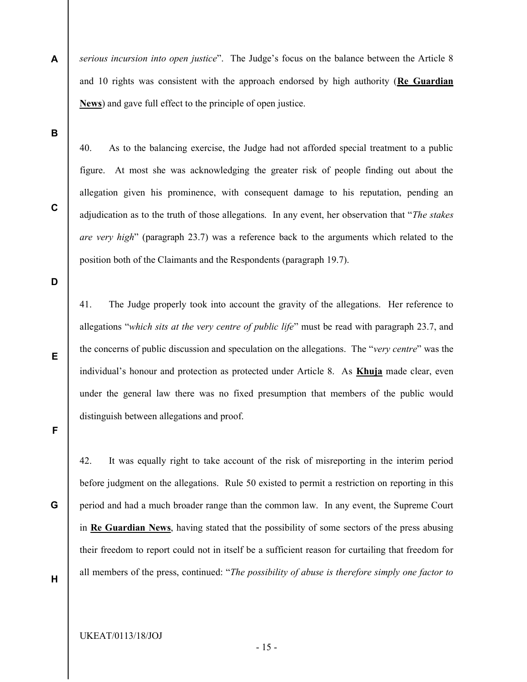A serious incursion into open justice". The Judge's focus on the balance between the Article 8 and 10 rights was consistent with the approach endorsed by high authority ( $\text{Re}$  Guardian News) and gave full effect to the principle of open justice.

B

C

40. As to the balancing exercise, the Judge had not afforded special treatment to a public figure. At most she was acknowledging the greater risk of people finding out about the allegation given his prominence, with consequent damage to his reputation, pending an adjudication as to the truth of those allegations. In any event, her observation that "The stakes are very high" (paragraph 23.7) was a reference back to the arguments which related to the position both of the Claimants and the Respondents (paragraph 19.7).

D

E

41. The Judge properly took into account the gravity of the allegations. Her reference to allegations "which sits at the very centre of public life" must be read with paragraph 23.7, and the concerns of public discussion and speculation on the allegations. The "very centre" was the individual's honour and protection as protected under Article 8. As **Khuja** made clear, even under the general law there was no fixed presumption that members of the public would distinguish between allegations and proof.

F

G

42. It was equally right to take account of the risk of misreporting in the interim period before judgment on the allegations. Rule 50 existed to permit a restriction on reporting in this period and had a much broader range than the common law. In any event, the Supreme Court in Re Guardian News, having stated that the possibility of some sectors of the press abusing their freedom to report could not in itself be a sufficient reason for curtailing that freedom for all members of the press, continued: "The possibility of abuse is therefore simply one factor to

H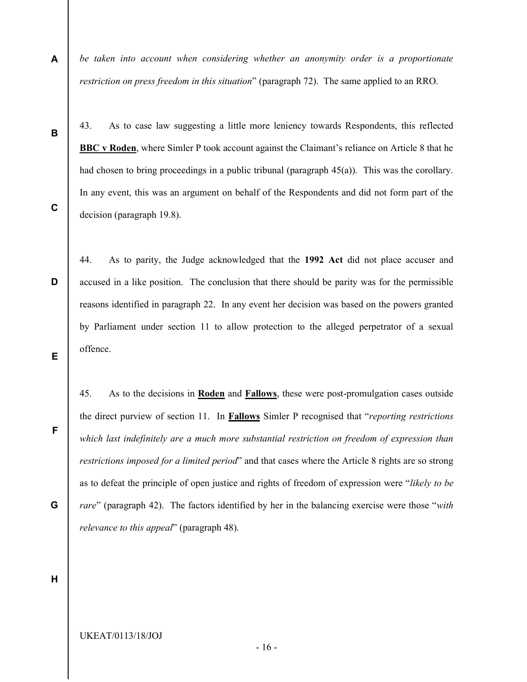A be taken into account when considering whether an anonymity order is a proportionate restriction on press freedom in this situation" (paragraph 72). The same applied to an RRO.

43. As to case law suggesting a little more leniency towards Respondents, this reflected BBC v Roden, where Simler P took account against the Claimant's reliance on Article 8 that he had chosen to bring proceedings in a public tribunal (paragraph 45(a)). This was the corollary. In any event, this was an argument on behalf of the Respondents and did not form part of the decision (paragraph 19.8).

- 44. As to parity, the Judge acknowledged that the 1992 Act did not place accuser and accused in a like position. The conclusion that there should be parity was for the permissible reasons identified in paragraph 22. In any event her decision was based on the powers granted by Parliament under section 11 to allow protection to the alleged perpetrator of a sexual offence.
	- 45. As to the decisions in Roden and Fallows, these were post-promulgation cases outside the direct purview of section 11. In **Fallows** Simler P recognised that "reporting restrictions" which last indefinitely are a much more substantial restriction on freedom of expression than restrictions imposed for a limited period" and that cases where the Article 8 rights are so strong as to defeat the principle of open justice and rights of freedom of expression were "likely to be rare" (paragraph 42). The factors identified by her in the balancing exercise were those "with relevance to this appeal" (paragraph 48).

H

G

B

C

D

E

F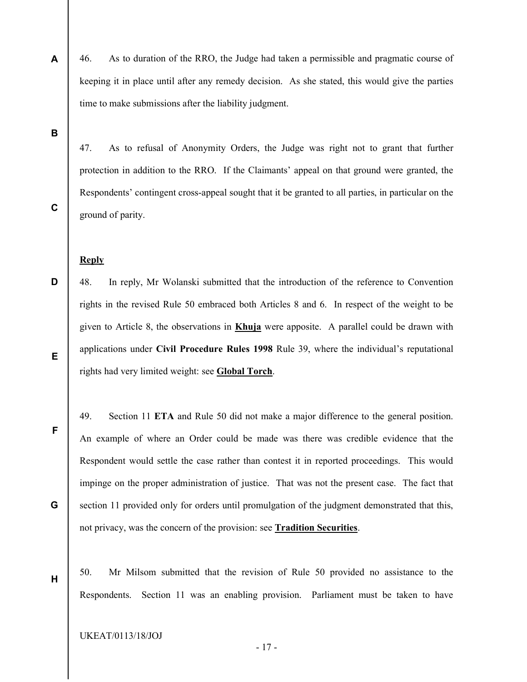- 46. As to duration of the RRO, the Judge had taken a permissible and pragmatic course of keeping it in place until after any remedy decision. As she stated, this would give the parties time to make submissions after the liability judgment.
- B

A

47. As to refusal of Anonymity Orders, the Judge was right not to grant that further protection in addition to the RRO. If the Claimants' appeal on that ground were granted, the Respondents' contingent cross-appeal sought that it be granted to all parties, in particular on the ground of parity.

C

F

G

H

#### **Reply**

- D E 48. In reply, Mr Wolanski submitted that the introduction of the reference to Convention rights in the revised Rule 50 embraced both Articles 8 and 6. In respect of the weight to be given to Article 8, the observations in Khuja were apposite. A parallel could be drawn with applications under Civil Procedure Rules 1998 Rule 39, where the individual's reputational rights had very limited weight: see Global Torch.
	- 49. Section 11 ETA and Rule 50 did not make a major difference to the general position. An example of where an Order could be made was there was credible evidence that the Respondent would settle the case rather than contest it in reported proceedings. This would impinge on the proper administration of justice. That was not the present case. The fact that section 11 provided only for orders until promulgation of the judgment demonstrated that this, not privacy, was the concern of the provision: see Tradition Securities.
		- 50. Mr Milsom submitted that the revision of Rule 50 provided no assistance to the Respondents. Section 11 was an enabling provision. Parliament must be taken to have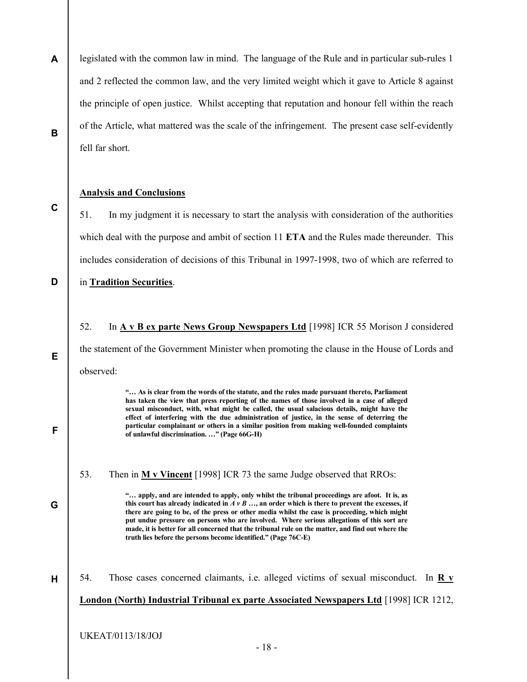A B legislated with the common law in mind. The language of the Rule and in particular sub-rules 1 and 2 reflected the common law, and the very limited weight which it gave to Article 8 against the principle of open justice. Whilst accepting that reputation and honour fell within the reach of the Article, what mattered was the scale of the infringement. The present case self-evidently fell far short.

#### Analysis and Conclusions

51. In my judgment it is necessary to start the analysis with consideration of the authorities which deal with the purpose and ambit of section 11 ETA and the Rules made thereunder. This includes consideration of decisions of this Tribunal in 1997-1998, two of which are referred to

#### D in Tradition Securities.

C

E

F

G

H

52. In A v B ex parte News Group Newspapers Ltd [1998] ICR 55 Morison J considered the statement of the Government Minister when promoting the clause in the House of Lords and observed:

> "… As is clear from the words of the statute, and the rules made pursuant thereto, Parliament has taken the view that press reporting of the names of those involved in a case of alleged sexual misconduct, with, what might be called, the usual salacious details, might have the effect of interfering with the due administration of justice, in the sense of deterring the particular complainant or others in a similar position from making well-founded complaints of unlawful discrimination. …" (Page 66G-H)

53. Then in  $M v$  Vincent [1998] ICR 73 the same Judge observed that RROs:

"… apply, and are intended to apply, only whilst the tribunal proceedings are afoot. It is, as this court has already indicated in  $A \nu B$  ..., an order which is there to prevent the excesses, if there are going to be, of the press or other media whilst the case is proceeding, which might put undue pressure on persons who are involved. Where serious allegations of this sort are made, it is better for all concerned that the tribunal rule on the matter, and find out where the truth lies before the persons become identified." (Page 76C-E)

54. Those cases concerned claimants, i.e. alleged victims of sexual misconduct. In R v London (North) Industrial Tribunal ex parte Associated Newspapers Ltd [1998] ICR 1212,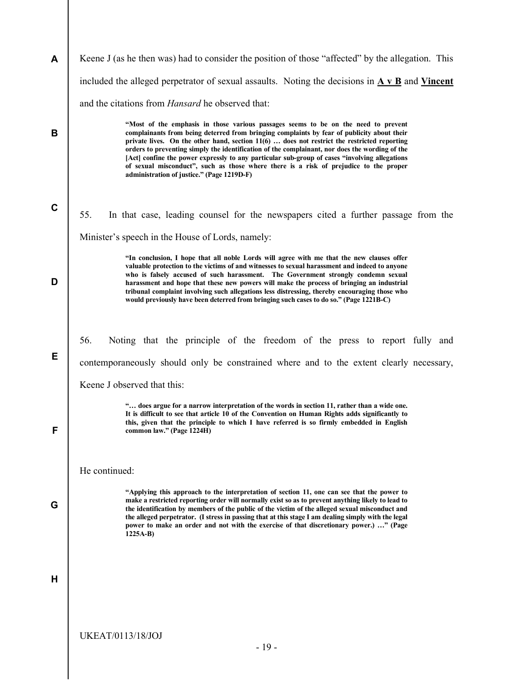| A           | Keene J (as he then was) had to consider the position of those "affected" by the allegation. This                                                                                                                                                                                                                                                                                                                                                                                                                                                                                                                          |
|-------------|----------------------------------------------------------------------------------------------------------------------------------------------------------------------------------------------------------------------------------------------------------------------------------------------------------------------------------------------------------------------------------------------------------------------------------------------------------------------------------------------------------------------------------------------------------------------------------------------------------------------------|
|             | included the alleged perpetrator of sexual assaults. Noting the decisions in $\overline{A} \vee \overline{B}$ and Vincent                                                                                                                                                                                                                                                                                                                                                                                                                                                                                                  |
|             | and the citations from Hansard he observed that:                                                                                                                                                                                                                                                                                                                                                                                                                                                                                                                                                                           |
| B           | "Most of the emphasis in those various passages seems to be on the need to prevent<br>complainants from being deterred from bringing complaints by fear of publicity about their<br>private lives. On the other hand, section $11(6)$ does not restrict the restricted reporting<br>orders to preventing simply the identification of the complainant, nor does the wording of the<br>[Act] confine the power expressly to any particular sub-group of cases "involving allegations<br>of sexual misconduct", such as those where there is a risk of prejudice to the proper<br>administration of justice." (Page 1219D-F) |
| $\mathbf C$ | 55.<br>In that case, leading counsel for the newspapers cited a further passage from the                                                                                                                                                                                                                                                                                                                                                                                                                                                                                                                                   |
|             | Minister's speech in the House of Lords, namely:                                                                                                                                                                                                                                                                                                                                                                                                                                                                                                                                                                           |
| D           | "In conclusion, I hope that all noble Lords will agree with me that the new clauses offer<br>valuable protection to the victims of and witnesses to sexual harassment and indeed to anyone<br>who is falsely accused of such harassment. The Government strongly condemn sexual<br>harassment and hope that these new powers will make the process of bringing an industrial<br>tribunal complaint involving such allegations less distressing, thereby encouraging those who<br>would previously have been deterred from bringing such cases to do so." (Page 1221B-C)                                                    |
|             |                                                                                                                                                                                                                                                                                                                                                                                                                                                                                                                                                                                                                            |
| Е           | 56.<br>Noting that the principle of the freedom of the press to report fully and                                                                                                                                                                                                                                                                                                                                                                                                                                                                                                                                           |
|             | contemporaneously should only be constrained where and to the extent clearly necessary,                                                                                                                                                                                                                                                                                                                                                                                                                                                                                                                                    |
|             | Keene J observed that this:                                                                                                                                                                                                                                                                                                                                                                                                                                                                                                                                                                                                |
| F           | " does argue for a narrow interpretation of the words in section 11, rather than a wide one.<br>It is difficult to see that article 10 of the Convention on Human Rights adds significantly to<br>this, given that the principle to which I have referred is so firmly embedded in English<br>common law." (Page 1224H)                                                                                                                                                                                                                                                                                                    |
|             | He continued:                                                                                                                                                                                                                                                                                                                                                                                                                                                                                                                                                                                                              |
| G           | "Applying this approach to the interpretation of section 11, one can see that the power to<br>make a restricted reporting order will normally exist so as to prevent anything likely to lead to<br>the identification by members of the public of the victim of the alleged sexual misconduct and<br>the alleged perpetrator. (I stress in passing that at this stage I am dealing simply with the legal<br>power to make an order and not with the exercise of that discretionary power.) " (Page<br>$1225A-B$                                                                                                            |
| н           |                                                                                                                                                                                                                                                                                                                                                                                                                                                                                                                                                                                                                            |
|             | <b>UKEAT/0113/18/JOJ</b><br>$-19-$                                                                                                                                                                                                                                                                                                                                                                                                                                                                                                                                                                                         |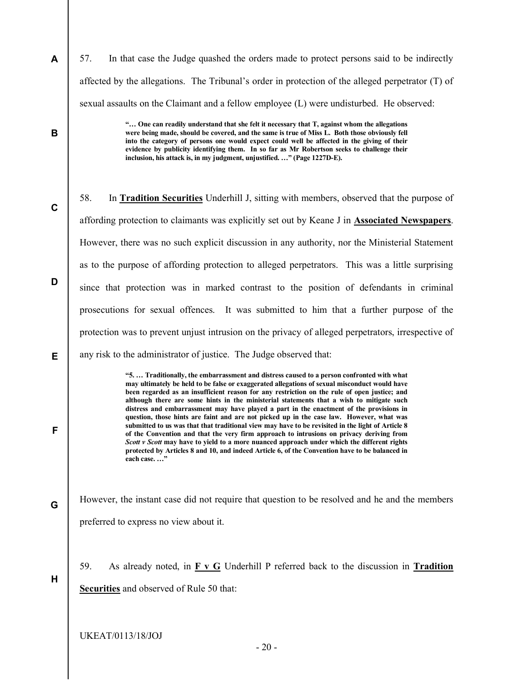57. In that case the Judge quashed the orders made to protect persons said to be indirectly affected by the allegations. The Tribunal's order in protection of the alleged perpetrator (T) of sexual assaults on the Claimant and a fellow employee (L) were undisturbed. He observed:

> "… One can readily understand that she felt it necessary that T, against whom the allegations were being made, should be covered, and the same is true of Miss L. Both those obviously fell into the category of persons one would expect could well be affected in the giving of their evidence by publicity identifying them. In so far as Mr Robertson seeks to challenge their inclusion, his attack is, in my judgment, unjustified. …" (Page 1227D-E).

58. In Tradition Securities Underhill J, sitting with members, observed that the purpose of affording protection to claimants was explicitly set out by Keane J in Associated Newspapers. However, there was no such explicit discussion in any authority, nor the Ministerial Statement as to the purpose of affording protection to alleged perpetrators. This was a little surprising since that protection was in marked contrast to the position of defendants in criminal prosecutions for sexual offences. It was submitted to him that a further purpose of the protection was to prevent unjust intrusion on the privacy of alleged perpetrators, irrespective of any risk to the administrator of justice. The Judge observed that:

> "5. … Traditionally, the embarrassment and distress caused to a person confronted with what may ultimately be held to be false or exaggerated allegations of sexual misconduct would have been regarded as an insufficient reason for any restriction on the rule of open justice; and although there are some hints in the ministerial statements that a wish to mitigate such distress and embarrassment may have played a part in the enactment of the provisions in question, those hints are faint and are not picked up in the case law. However, what was submitted to us was that that traditional view may have to be revisited in the light of Article 8 of the Convention and that the very firm approach to intrusions on privacy deriving from Scott v Scott may have to yield to a more nuanced approach under which the different rights protected by Articles 8 and 10, and indeed Article 6, of the Convention have to be balanced in each case....'

G However, the instant case did not require that question to be resolved and he and the members preferred to express no view about it.

59. As already noted, in  $\underline{F} \times \underline{G}$  Underhill P referred back to the discussion in Tradition Securities and observed of Rule 50 that:

UKEAT/0113/18/JOJ

A

B

C

D

E

F

H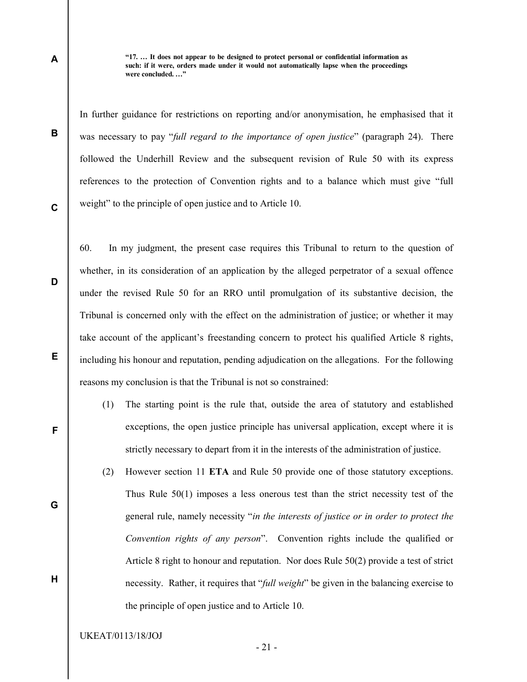"17. … It does not appear to be designed to protect personal or confidential information as such: if it were, orders made under it would not automatically lapse when the proceedings were concluded. …"

In further guidance for restrictions on reporting and/or anonymisation, he emphasised that it was necessary to pay "full regard to the importance of open justice" (paragraph 24). There followed the Underhill Review and the subsequent revision of Rule 50 with its express references to the protection of Convention rights and to a balance which must give "full weight" to the principle of open justice and to Article 10.

C

D

E

F

G

H

B

A

60. In my judgment, the present case requires this Tribunal to return to the question of whether, in its consideration of an application by the alleged perpetrator of a sexual offence under the revised Rule 50 for an RRO until promulgation of its substantive decision, the Tribunal is concerned only with the effect on the administration of justice; or whether it may take account of the applicant's freestanding concern to protect his qualified Article 8 rights, including his honour and reputation, pending adjudication on the allegations. For the following reasons my conclusion is that the Tribunal is not so constrained:

- (1) The starting point is the rule that, outside the area of statutory and established exceptions, the open justice principle has universal application, except where it is strictly necessary to depart from it in the interests of the administration of justice.
- (2) However section 11 ETA and Rule 50 provide one of those statutory exceptions. Thus Rule 50(1) imposes a less onerous test than the strict necessity test of the general rule, namely necessity "in the interests of justice or in order to protect the Convention rights of any person". Convention rights include the qualified or Article 8 right to honour and reputation. Nor does Rule 50(2) provide a test of strict necessity. Rather, it requires that "*full weight*" be given in the balancing exercise to the principle of open justice and to Article 10.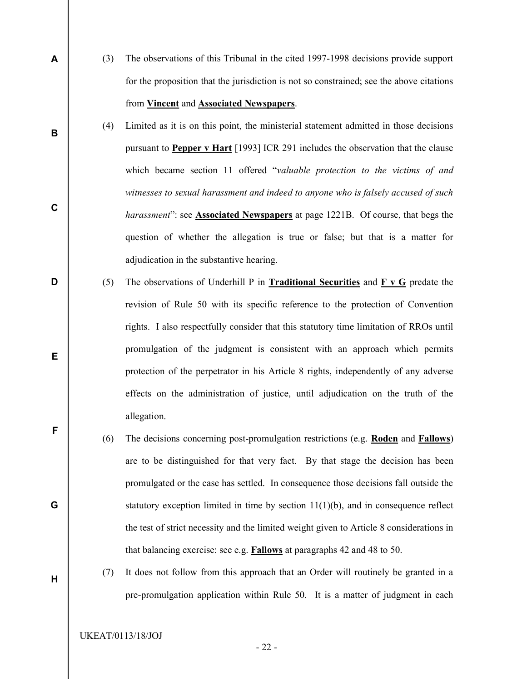- (3) The observations of this Tribunal in the cited 1997-1998 decisions provide support for the proposition that the jurisdiction is not so constrained; see the above citations from Vincent and Associated Newspapers.
	- (4) Limited as it is on this point, the ministerial statement admitted in those decisions pursuant to Pepper v Hart [1993] ICR 291 includes the observation that the clause which became section 11 offered "valuable protection to the victims of and witnesses to sexual harassment and indeed to anyone who is falsely accused of such harassment": see **Associated Newspapers** at page 1221B. Of course, that begs the question of whether the allegation is true or false; but that is a matter for adjudication in the substantive hearing.
- (5) The observations of Underhill P in Traditional Securities and F v G predate the revision of Rule 50 with its specific reference to the protection of Convention rights. I also respectfully consider that this statutory time limitation of RROs until promulgation of the judgment is consistent with an approach which permits protection of the perpetrator in his Article 8 rights, independently of any adverse effects on the administration of justice, until adjudication on the truth of the allegation.
	- (6) The decisions concerning post-promulgation restrictions (e.g. Roden and Fallows) are to be distinguished for that very fact. By that stage the decision has been promulgated or the case has settled. In consequence those decisions fall outside the statutory exception limited in time by section  $11(1)(b)$ , and in consequence reflect the test of strict necessity and the limited weight given to Article 8 considerations in that balancing exercise: see e.g. Fallows at paragraphs 42 and 48 to 50.
		- (7) It does not follow from this approach that an Order will routinely be granted in a pre-promulgation application within Rule 50. It is a matter of judgment in each

A

B

C

D

E

F

G

H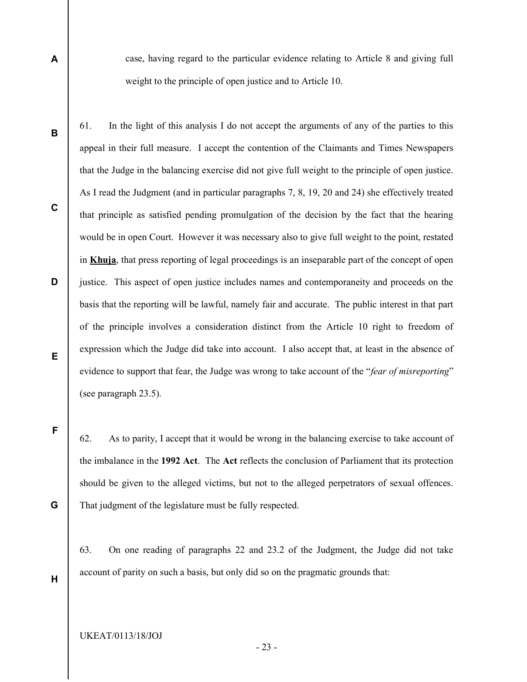case, having regard to the particular evidence relating to Article 8 and giving full weight to the principle of open justice and to Article 10.

61. In the light of this analysis I do not accept the arguments of any of the parties to this appeal in their full measure. I accept the contention of the Claimants and Times Newspapers that the Judge in the balancing exercise did not give full weight to the principle of open justice. As I read the Judgment (and in particular paragraphs 7, 8, 19, 20 and 24) she effectively treated that principle as satisfied pending promulgation of the decision by the fact that the hearing would be in open Court. However it was necessary also to give full weight to the point, restated in Khuja, that press reporting of legal proceedings is an inseparable part of the concept of open justice. This aspect of open justice includes names and contemporaneity and proceeds on the basis that the reporting will be lawful, namely fair and accurate. The public interest in that part of the principle involves a consideration distinct from the Article 10 right to freedom of expression which the Judge did take into account. I also accept that, at least in the absence of evidence to support that fear, the Judge was wrong to take account of the "*fear of misreporting*" (see paragraph 23.5).

62. As to parity, I accept that it would be wrong in the balancing exercise to take account of the imbalance in the 1992 Act. The Act reflects the conclusion of Parliament that its protection should be given to the alleged victims, but not to the alleged perpetrators of sexual offences. That judgment of the legislature must be fully respected.

63. On one reading of paragraphs 22 and 23.2 of the Judgment, the Judge did not take account of parity on such a basis, but only did so on the pragmatic grounds that:

H

G

A

B

C

D

E

F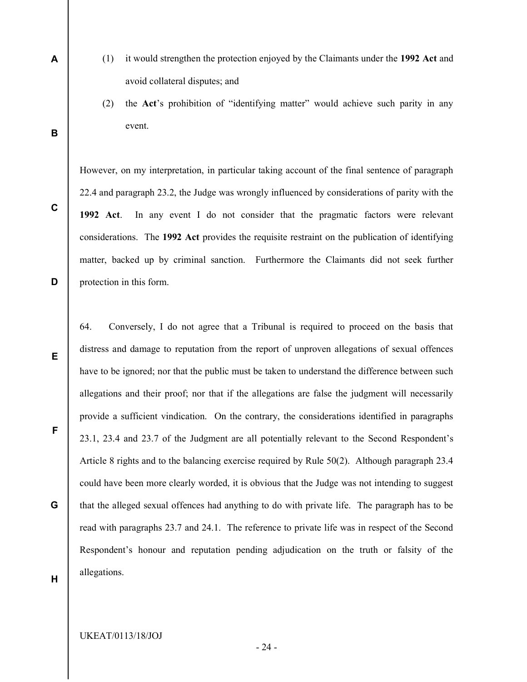- (1) it would strengthen the protection enjoyed by the Claimants under the 1992 Act and avoid collateral disputes; and
- (2) the Act's prohibition of "identifying matter" would achieve such parity in any event.

However, on my interpretation, in particular taking account of the final sentence of paragraph 22.4 and paragraph 23.2, the Judge was wrongly influenced by considerations of parity with the 1992 Act. In any event I do not consider that the pragmatic factors were relevant considerations. The 1992 Act provides the requisite restraint on the publication of identifying matter, backed up by criminal sanction. Furthermore the Claimants did not seek further protection in this form.

64. Conversely, I do not agree that a Tribunal is required to proceed on the basis that distress and damage to reputation from the report of unproven allegations of sexual offences have to be ignored; nor that the public must be taken to understand the difference between such allegations and their proof; nor that if the allegations are false the judgment will necessarily provide a sufficient vindication. On the contrary, the considerations identified in paragraphs 23.1, 23.4 and 23.7 of the Judgment are all potentially relevant to the Second Respondent's Article 8 rights and to the balancing exercise required by Rule 50(2). Although paragraph 23.4 could have been more clearly worded, it is obvious that the Judge was not intending to suggest that the alleged sexual offences had anything to do with private life. The paragraph has to be read with paragraphs 23.7 and 24.1. The reference to private life was in respect of the Second Respondent's honour and reputation pending adjudication on the truth or falsity of the allegations.

H

A

B

C

D

E

F

G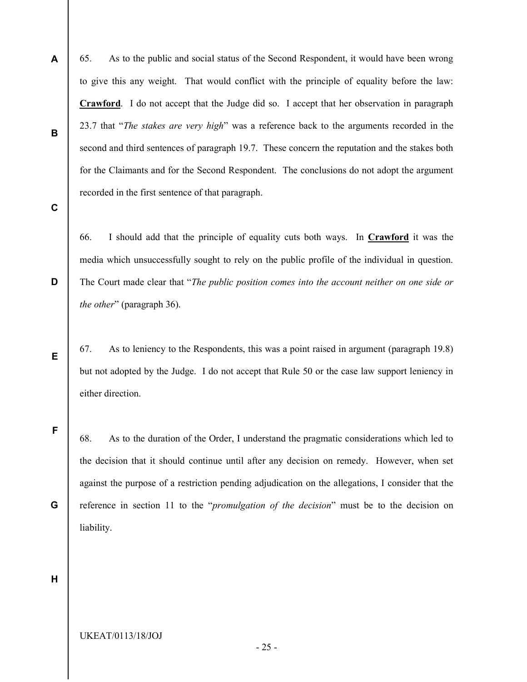- 65. As to the public and social status of the Second Respondent, it would have been wrong to give this any weight. That would conflict with the principle of equality before the law: Crawford. I do not accept that the Judge did so. I accept that her observation in paragraph 23.7 that "The stakes are very high" was a reference back to the arguments recorded in the second and third sentences of paragraph 19.7. These concern the reputation and the stakes both for the Claimants and for the Second Respondent. The conclusions do not adopt the argument recorded in the first sentence of that paragraph.
- C

D

E

F

G

A

B

66. I should add that the principle of equality cuts both ways. In Crawford it was the media which unsuccessfully sought to rely on the public profile of the individual in question. The Court made clear that "The public position comes into the account neither on one side or the other" (paragraph 36).

67. As to leniency to the Respondents, this was a point raised in argument (paragraph 19.8) but not adopted by the Judge. I do not accept that Rule 50 or the case law support leniency in either direction.

68. As to the duration of the Order, I understand the pragmatic considerations which led to the decision that it should continue until after any decision on remedy. However, when set against the purpose of a restriction pending adjudication on the allegations, I consider that the reference in section 11 to the "*promulgation of the decision*" must be to the decision on liability.

## H